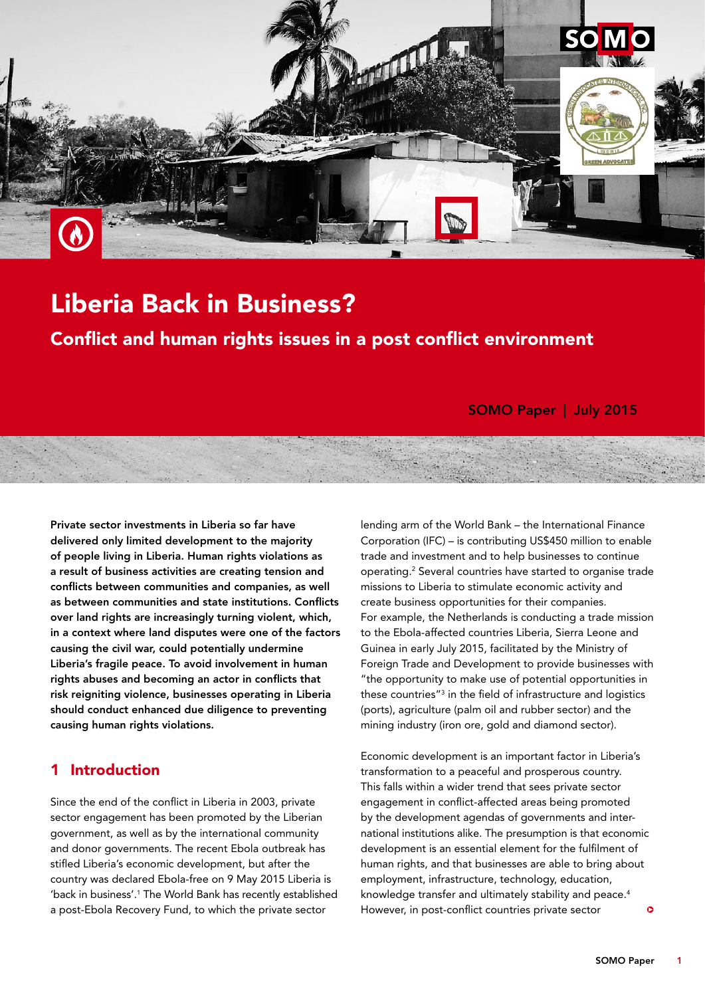

# Liberia Back in Business?

Conflict and human rights issues in a post conflict environment

SOMO Paper | July 2015

Private sector investments in Liberia so far have delivered only limited development to the majority of people living in Liberia. Human rights violations as a result of business activities are creating tension and conflicts between communities and companies, as well as between communities and state institutions. Conflicts over land rights are increasingly turning violent, which, in a context where land disputes were one of the factors causing the civil war, could potentially undermine Liberia's fragile peace. To avoid involvement in human rights abuses and becoming an actor in conflicts that risk reigniting violence, businesses operating in Liberia should conduct enhanced due diligence to preventing causing human rights violations.

## **Introduction**

Since the end of the conflict in Liberia in 2003, private sector engagement has been promoted by the Liberian government, as well as by the international community and donor governments. The recent Ebola outbreak has stifled Liberia's economic development, but after the country was declared Ebola-free on 9 May 2015 Liberia is 'back in business'.<sup>1</sup> The World Bank has recently established a post-Ebola Recovery Fund, to which the private sector

lending arm of the World Bank – the International Finance Corporation (IFC) – is contributing US\$450 million to enable trade and investment and to help businesses to continue operating.2 Several countries have started to organise trade missions to Liberia to stimulate economic activity and create business opportunities for their companies. For example, the Netherlands is conducting a trade mission to the Ebola-affected countries Liberia, Sierra Leone and Guinea in early July 2015, facilitated by the Ministry of Foreign Trade and Development to provide businesses with "the opportunity to make use of potential opportunities in these countries"3 in the field of infrastructure and logistics (ports), agriculture (palm oil and rubber sector) and the mining industry (iron ore, gold and diamond sector).

Economic development is an important factor in Liberia's transformation to a peaceful and prosperous country. This falls within a wider trend that sees private sector engagement in conflict-affected areas being promoted by the development agendas of governments and international institutions alike. The presumption is that economic development is an essential element for the fulfilment of human rights, and that businesses are able to bring about employment, infrastructure, technology, education, knowledge transfer and ultimately stability and peace.<sup>4</sup> However, in post-conflict countries private sector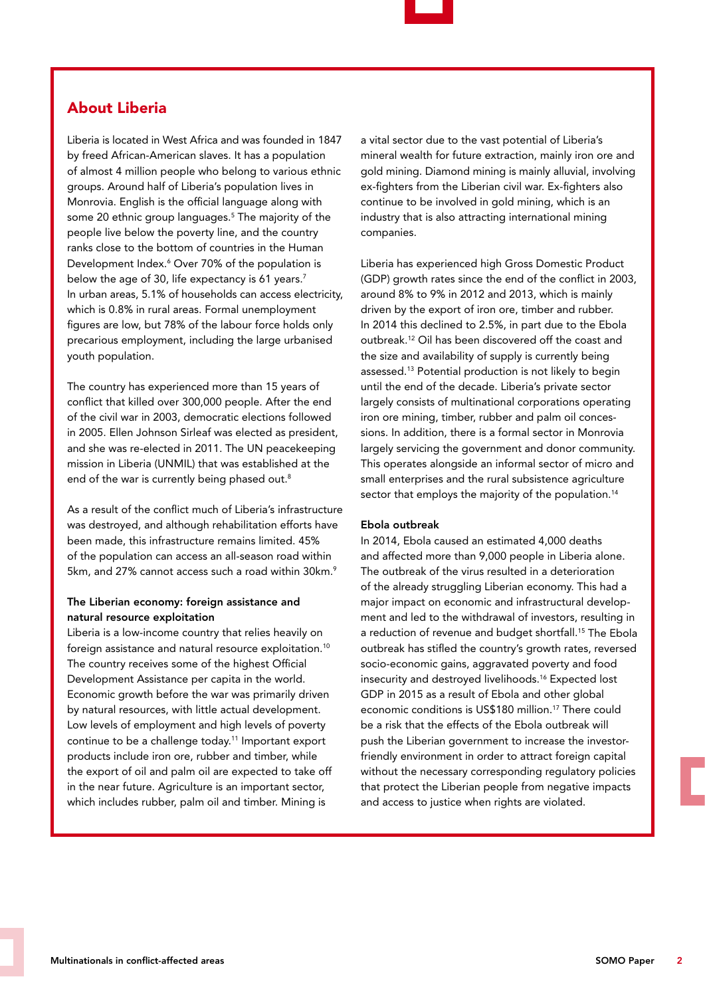

## About Liberia

Liberia is located in West Africa and was founded in 1847 by freed African-American slaves. It has a population of almost 4 million people who belong to various ethnic groups. Around half of Liberia's population lives in Monrovia. English is the official language along with some 20 ethnic group languages.5 The majority of the people live below the poverty line, and the country ranks close to the bottom of countries in the Human Development Index.<sup>6</sup> Over 70% of the population is below the age of 30, life expectancy is 61 years.<sup>7</sup> In urban areas, 5.1% of households can access electricity, which is 0.8% in rural areas. Formal unemployment figures are low, but 78% of the labour force holds only precarious employment, including the large urbanised youth population.

The country has experienced more than 15 years of conflict that killed over 300,000 people. After the end of the civil war in 2003, democratic elections followed in 2005. Ellen Johnson Sirleaf was elected as president, and she was re-elected in 2011. The UN peacekeeping mission in Liberia (UNMIL) that was established at the end of the war is currently being phased out.<sup>8</sup>

As a result of the conflict much of Liberia's infrastructure was destroyed, and although rehabilitation efforts have been made, this infrastructure remains limited. 45% of the population can access an all-season road within 5km, and 27% cannot access such a road within 30km.<sup>9</sup>

#### The Liberian economy: foreign assistance and natural resource exploitation

Liberia is a low-income country that relies heavily on foreign assistance and natural resource exploitation.10 The country receives some of the highest Official Development Assistance per capita in the world. Economic growth before the war was primarily driven by natural resources, with little actual development. Low levels of employment and high levels of poverty continue to be a challenge today.11 Important export products include iron ore, rubber and timber, while the export of oil and palm oil are expected to take off in the near future. Agriculture is an important sector, which includes rubber, palm oil and timber. Mining is

a vital sector due to the vast potential of Liberia's mineral wealth for future extraction, mainly iron ore and gold mining. Diamond mining is mainly alluvial, involving ex-fighters from the Liberian civil war. Ex-fighters also continue to be involved in gold mining, which is an industry that is also attracting international mining companies.

Liberia has experienced high Gross Domestic Product (GDP) growth rates since the end of the conflict in 2003, around 8% to 9% in 2012 and 2013, which is mainly driven by the export of iron ore, timber and rubber. In 2014 this declined to 2.5%, in part due to the Ebola outbreak.12 Oil has been discovered off the coast and the size and availability of supply is currently being assessed.13 Potential production is not likely to begin until the end of the decade. Liberia's private sector largely consists of multinational corporations operating iron ore mining, timber, rubber and palm oil concessions. In addition, there is a formal sector in Monrovia largely servicing the government and donor community. This operates alongside an informal sector of micro and small enterprises and the rural subsistence agriculture sector that employs the majority of the population.<sup>14</sup>

#### Ebola outbreak

In 2014, Ebola caused an estimated 4,000 deaths and affected more than 9,000 people in Liberia alone. The outbreak of the virus resulted in a deterioration of the already struggling Liberian economy. This had a major impact on economic and infrastructural development and led to the withdrawal of investors, resulting in a reduction of revenue and budget shortfall.<sup>15</sup> The Ebola outbreak has stifled the country's growth rates, reversed socio-economic gains, aggravated poverty and food insecurity and destroyed livelihoods.16 Expected lost GDP in 2015 as a result of Ebola and other global economic conditions is US\$180 million.17 There could be a risk that the effects of the Ebola outbreak will push the Liberian government to increase the investorfriendly environment in order to attract foreign capital without the necessary corresponding regulatory policies that protect the Liberian people from negative impacts and access to justice when rights are violated.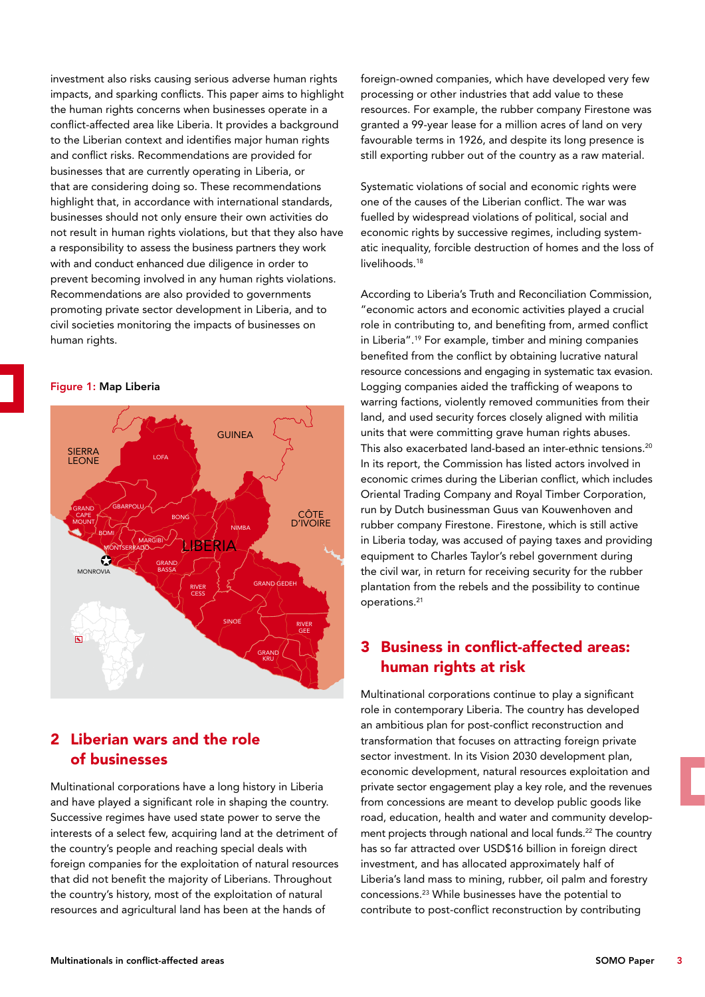investment also risks causing serious adverse human rights impacts, and sparking conflicts. This paper aims to highlight the human rights concerns when businesses operate in a conflict-affected area like Liberia. It provides a background to the Liberian context and identifies major human rights and conflict risks. Recommendations are provided for businesses that are currently operating in Liberia, or that are considering doing so. These recommendations highlight that, in accordance with international standards, businesses should not only ensure their own activities do not result in human rights violations, but that they also have a responsibility to assess the business partners they work with and conduct enhanced due diligence in order to prevent becoming involved in any human rights violations. Recommendations are also provided to governments promoting private sector development in Liberia, and to civil societies monitoring the impacts of businesses on human rights.

Figure 1: Map Liberia



# 2 Liberian wars and the role of businesses

Multinational corporations have a long history in Liberia and have played a significant role in shaping the country. Successive regimes have used state power to serve the interests of a select few, acquiring land at the detriment of the country's people and reaching special deals with foreign companies for the exploitation of natural resources that did not benefit the majority of Liberians. Throughout the country's history, most of the exploitation of natural resources and agricultural land has been at the hands of

foreign-owned companies, which have developed very few processing or other industries that add value to these resources. For example, the rubber company Firestone was granted a 99-year lease for a million acres of land on very favourable terms in 1926, and despite its long presence is still exporting rubber out of the country as a raw material.

Systematic violations of social and economic rights were one of the causes of the Liberian conflict. The war was fuelled by widespread violations of political, social and economic rights by successive regimes, including systematic inequality, forcible destruction of homes and the loss of livelihoods.<sup>18</sup>

According to Liberia's Truth and Reconciliation Commission, "economic actors and economic activities played a crucial role in contributing to, and benefiting from, armed conflict in Liberia".19 For example, timber and mining companies benefited from the conflict by obtaining lucrative natural resource concessions and engaging in systematic tax evasion. Logging companies aided the trafficking of weapons to warring factions, violently removed communities from their land, and used security forces closely aligned with militia units that were committing grave human rights abuses. This also exacerbated land-based an inter-ethnic tensions.<sup>20</sup> In its report, the Commission has listed actors involved in economic crimes during the Liberian conflict, which includes Oriental Trading Company and Royal Timber Corporation, run by Dutch businessman Guus van Kouwenhoven and rubber company Firestone. Firestone, which is still active in Liberia today, was accused of paying taxes and providing equipment to Charles Taylor's rebel government during the civil war, in return for receiving security for the rubber plantation from the rebels and the possibility to continue operations.21

## 3 Business in conflict-affected areas: human rights at risk

Multinational corporations continue to play a significant role in contemporary Liberia. The country has developed an ambitious plan for post-conflict reconstruction and transformation that focuses on attracting foreign private sector investment. In its Vision 2030 development plan, economic development, natural resources exploitation and private sector engagement play a key role, and the revenues from concessions are meant to develop public goods like road, education, health and water and community development projects through national and local funds.<sup>22</sup> The country has so far attracted over USD\$16 billion in foreign direct investment, and has allocated approximately half of Liberia's land mass to mining, rubber, oil palm and forestry concessions.23 While businesses have the potential to contribute to post-conflict reconstruction by contributing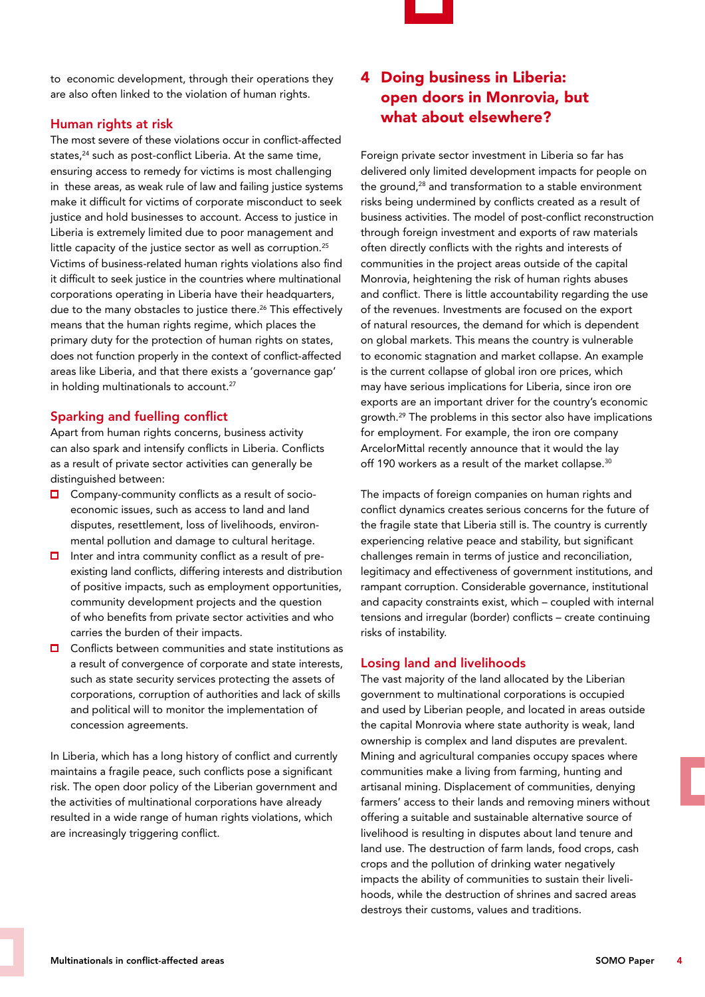

to economic development, through their operations they are also often linked to the violation of human rights.

#### Human rights at risk

The most severe of these violations occur in conflict-affected states,<sup>24</sup> such as post-conflict Liberia. At the same time, ensuring access to remedy for victims is most challenging in these areas, as weak rule of law and failing justice systems make it difficult for victims of corporate misconduct to seek justice and hold businesses to account. Access to justice in Liberia is extremely limited due to poor management and little capacity of the justice sector as well as corruption.<sup>25</sup> Victims of business-related human rights violations also find it difficult to seek justice in the countries where multinational corporations operating in Liberia have their headquarters, due to the many obstacles to justice there.<sup>26</sup> This effectively means that the human rights regime, which places the primary duty for the protection of human rights on states, does not function properly in the context of conflict-affected areas like Liberia, and that there exists a 'governance gap' in holding multinationals to account.<sup>27</sup>

## Sparking and fuelling conflict

Apart from human rights concerns, business activity can also spark and intensify conflicts in Liberia. Conflicts as a result of private sector activities can generally be distinguished between:

- Company-community conflicts as a result of socio- $\Box$ economic issues, such as access to land and land disputes, resettlement, loss of livelihoods, environmental pollution and damage to cultural heritage.
- $\Box$  Inter and intra community conflict as a result of preexisting land conflicts, differing interests and distribution of positive impacts, such as employment opportunities, community development projects and the question of who benefits from private sector activities and who carries the burden of their impacts.
- **□** Conflicts between communities and state institutions as a result of convergence of corporate and state interests, such as state security services protecting the assets of corporations, corruption of authorities and lack of skills and political will to monitor the implementation of concession agreements.

In Liberia, which has a long history of conflict and currently maintains a fragile peace, such conflicts pose a significant risk. The open door policy of the Liberian government and the activities of multinational corporations have already resulted in a wide range of human rights violations, which are increasingly triggering conflict.

# 4 Doing business in Liberia: open doors in Monrovia, but what about elsewhere?

Foreign private sector investment in Liberia so far has delivered only limited development impacts for people on the ground,28 and transformation to a stable environment risks being undermined by conflicts created as a result of business activities. The model of post-conflict reconstruction through foreign investment and exports of raw materials often directly conflicts with the rights and interests of communities in the project areas outside of the capital Monrovia, heightening the risk of human rights abuses and conflict. There is little accountability regarding the use of the revenues. Investments are focused on the export of natural resources, the demand for which is dependent on global markets. This means the country is vulnerable to economic stagnation and market collapse. An example is the current collapse of global iron ore prices, which may have serious implications for Liberia, since iron ore exports are an important driver for the country's economic growth.29 The problems in this sector also have implications for employment. For example, the iron ore company ArcelorMittal recently announce that it would the lay off 190 workers as a result of the market collapse.<sup>30</sup>

The impacts of foreign companies on human rights and conflict dynamics creates serious concerns for the future of the fragile state that Liberia still is. The country is currently experiencing relative peace and stability, but significant challenges remain in terms of justice and reconciliation, legitimacy and effectiveness of government institutions, and rampant corruption. Considerable governance, institutional and capacity constraints exist, which – coupled with internal tensions and irregular (border) conflicts – create continuing risks of instability.

## Losing land and livelihoods

The vast majority of the land allocated by the Liberian government to multinational corporations is occupied and used by Liberian people, and located in areas outside the capital Monrovia where state authority is weak, land ownership is complex and land disputes are prevalent. Mining and agricultural companies occupy spaces where communities make a living from farming, hunting and artisanal mining. Displacement of communities, denying farmers' access to their lands and removing miners without offering a suitable and sustainable alternative source of livelihood is resulting in disputes about land tenure and land use. The destruction of farm lands, food crops, cash crops and the pollution of drinking water negatively impacts the ability of communities to sustain their livelihoods, while the destruction of shrines and sacred areas destroys their customs, values and traditions.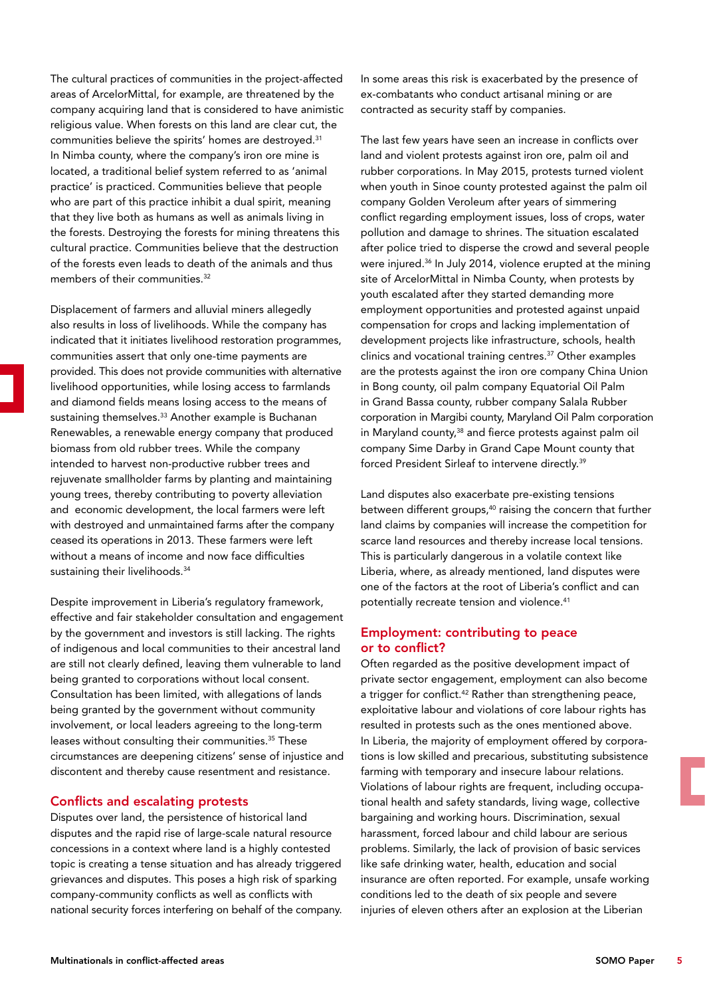The cultural practices of communities in the project-affected areas of ArcelorMittal, for example, are threatened by the company acquiring land that is considered to have animistic religious value. When forests on this land are clear cut, the communities believe the spirits' homes are destroyed.<sup>31</sup> In Nimba county, where the company's iron ore mine is located, a traditional belief system referred to as 'animal practice' is practiced. Communities believe that people who are part of this practice inhibit a dual spirit, meaning that they live both as humans as well as animals living in the forests. Destroying the forests for mining threatens this cultural practice. Communities believe that the destruction of the forests even leads to death of the animals and thus members of their communities.<sup>32</sup>

Displacement of farmers and alluvial miners allegedly also results in loss of livelihoods. While the company has indicated that it initiates livelihood restoration programmes, communities assert that only one-time payments are provided. This does not provide communities with alternative livelihood opportunities, while losing access to farmlands and diamond fields means losing access to the means of sustaining themselves.<sup>33</sup> Another example is Buchanan Renewables, a renewable energy company that produced biomass from old rubber trees. While the company intended to harvest non-productive rubber trees and rejuvenate smallholder farms by planting and maintaining young trees, thereby contributing to poverty alleviation and economic development, the local farmers were left with destroyed and unmaintained farms after the company ceased its operations in 2013. These farmers were left without a means of income and now face difficulties sustaining their livelihoods.<sup>34</sup>

Despite improvement in Liberia's regulatory framework, effective and fair stakeholder consultation and engagement by the government and investors is still lacking. The rights of indigenous and local communities to their ancestral land are still not clearly defined, leaving them vulnerable to land being granted to corporations without local consent. Consultation has been limited, with allegations of lands being granted by the government without community involvement, or local leaders agreeing to the long-term leases without consulting their communities.<sup>35</sup> These circumstances are deepening citizens' sense of injustice and discontent and thereby cause resentment and resistance.

#### Conflicts and escalating protests

Disputes over land, the persistence of historical land disputes and the rapid rise of large-scale natural resource concessions in a context where land is a highly contested topic is creating a tense situation and has already triggered grievances and disputes. This poses a high risk of sparking company-community conflicts as well as conflicts with national security forces interfering on behalf of the company.

In some areas this risk is exacerbated by the presence of ex-combatants who conduct artisanal mining or are contracted as security staff by companies.

The last few years have seen an increase in conflicts over land and violent protests against iron ore, palm oil and rubber corporations. In May 2015, protests turned violent when youth in Sinoe county protested against the palm oil company Golden Veroleum after years of simmering conflict regarding employment issues, loss of crops, water pollution and damage to shrines. The situation escalated after police tried to disperse the crowd and several people were injured.36 In July 2014, violence erupted at the mining site of ArcelorMittal in Nimba County, when protests by youth escalated after they started demanding more employment opportunities and protested against unpaid compensation for crops and lacking implementation of development projects like infrastructure, schools, health clinics and vocational training centres.37 Other examples are the protests against the iron ore company China Union in Bong county, oil palm company Equatorial Oil Palm in Grand Bassa county, rubber company Salala Rubber corporation in Margibi county, Maryland Oil Palm corporation in Maryland county,<sup>38</sup> and fierce protests against palm oil company Sime Darby in Grand Cape Mount county that forced President Sirleaf to intervene directly.39

Land disputes also exacerbate pre-existing tensions between different groups,<sup>40</sup> raising the concern that further land claims by companies will increase the competition for scarce land resources and thereby increase local tensions. This is particularly dangerous in a volatile context like Liberia, where, as already mentioned, land disputes were one of the factors at the root of Liberia's conflict and can potentially recreate tension and violence.<sup>41</sup>

#### Employment: contributing to peace or to conflict?

Often regarded as the positive development impact of private sector engagement, employment can also become a trigger for conflict.<sup>42</sup> Rather than strengthening peace, exploitative labour and violations of core labour rights has resulted in protests such as the ones mentioned above. In Liberia, the majority of employment offered by corporations is low skilled and precarious, substituting subsistence farming with temporary and insecure labour relations. Violations of labour rights are frequent, including occupational health and safety standards, living wage, collective bargaining and working hours. Discrimination, sexual harassment, forced labour and child labour are serious problems. Similarly, the lack of provision of basic services like safe drinking water, health, education and social insurance are often reported. For example, unsafe working conditions led to the death of six people and severe injuries of eleven others after an explosion at the Liberian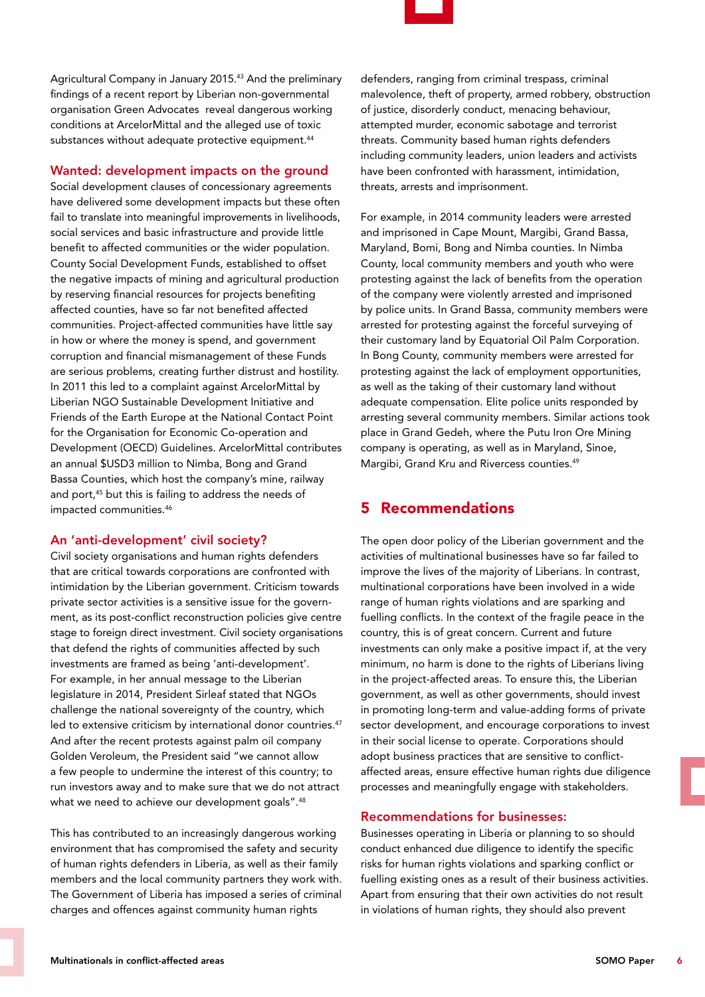

Agricultural Company in January 2015.43 And the preliminary findings of a recent report by Liberian non-governmental organisation Green Advocates reveal dangerous working conditions at ArcelorMittal and the alleged use of toxic substances without adequate protective equipment.<sup>44</sup>

## Wanted: development impacts on the ground

Social development clauses of concessionary agreements have delivered some development impacts but these often fail to translate into meaningful improvements in livelihoods, social services and basic infrastructure and provide little benefit to affected communities or the wider population. County Social Development Funds, established to offset the negative impacts of mining and agricultural production by reserving financial resources for projects benefiting affected counties, have so far not benefited affected communities. Project-affected communities have little say in how or where the money is spend, and government corruption and financial mismanagement of these Funds are serious problems, creating further distrust and hostility. In 2011 this led to a complaint against ArcelorMittal by Liberian NGO Sustainable Development Initiative and Friends of the Earth Europe at the National Contact Point for the Organisation for Economic Co-operation and Development (OECD) Guidelines. ArcelorMittal contributes an annual \$USD3 million to Nimba, Bong and Grand Bassa Counties, which host the company's mine, railway and port,<sup>45</sup> but this is failing to address the needs of impacted communities.46

## An 'anti-development' civil society?

Civil society organisations and human rights defenders that are critical towards corporations are confronted with intimidation by the Liberian government. Criticism towards private sector activities is a sensitive issue for the government, as its post-conflict reconstruction policies give centre stage to foreign direct investment. Civil society organisations that defend the rights of communities affected by such investments are framed as being 'anti-development'. For example, in her annual message to the Liberian legislature in 2014, President Sirleaf stated that NGOs challenge the national sovereignty of the country, which led to extensive criticism by international donor countries.<sup>47</sup> And after the recent protests against palm oil company Golden Veroleum, the President said "we cannot allow a few people to undermine the interest of this country; to run investors away and to make sure that we do not attract what we need to achieve our development goals".<sup>48</sup>

This has contributed to an increasingly dangerous working environment that has compromised the safety and security of human rights defenders in Liberia, as well as their family members and the local community partners they work with. The Government of Liberia has imposed a series of criminal charges and offences against community human rights

defenders, ranging from criminal trespass, criminal malevolence, theft of property, armed robbery, obstruction of justice, disorderly conduct, menacing behaviour, attempted murder, economic sabotage and terrorist threats. Community based human rights defenders including community leaders, union leaders and activists have been confronted with harassment, intimidation, threats, arrests and imprisonment.

For example, in 2014 community leaders were arrested and imprisoned in Cape Mount, Margibi, Grand Bassa, Maryland, Bomi, Bong and Nimba counties. In Nimba County, local community members and youth who were protesting against the lack of benefits from the operation of the company were violently arrested and imprisoned by police units. In Grand Bassa, community members were arrested for protesting against the forceful surveying of their customary land by Equatorial Oil Palm Corporation. In Bong County, community members were arrested for protesting against the lack of employment opportunities, as well as the taking of their customary land without adequate compensation. Elite police units responded by arresting several community members. Similar actions took place in Grand Gedeh, where the Putu Iron Ore Mining company is operating, as well as in Maryland, Sinoe, Margibi, Grand Kru and Rivercess counties.49

## 5 Recommendations

The open door policy of the Liberian government and the activities of multinational businesses have so far failed to improve the lives of the majority of Liberians. In contrast, multinational corporations have been involved in a wide range of human rights violations and are sparking and fuelling conflicts. In the context of the fragile peace in the country, this is of great concern. Current and future investments can only make a positive impact if, at the very minimum, no harm is done to the rights of Liberians living in the project-affected areas. To ensure this, the Liberian government, as well as other governments, should invest in promoting long-term and value-adding forms of private sector development, and encourage corporations to invest in their social license to operate. Corporations should adopt business practices that are sensitive to conflictaffected areas, ensure effective human rights due diligence processes and meaningfully engage with stakeholders.

## Recommendations for businesses:

Businesses operating in Liberia or planning to so should conduct enhanced due diligence to identify the specific risks for human rights violations and sparking conflict or fuelling existing ones as a result of their business activities. Apart from ensuring that their own activities do not result in violations of human rights, they should also prevent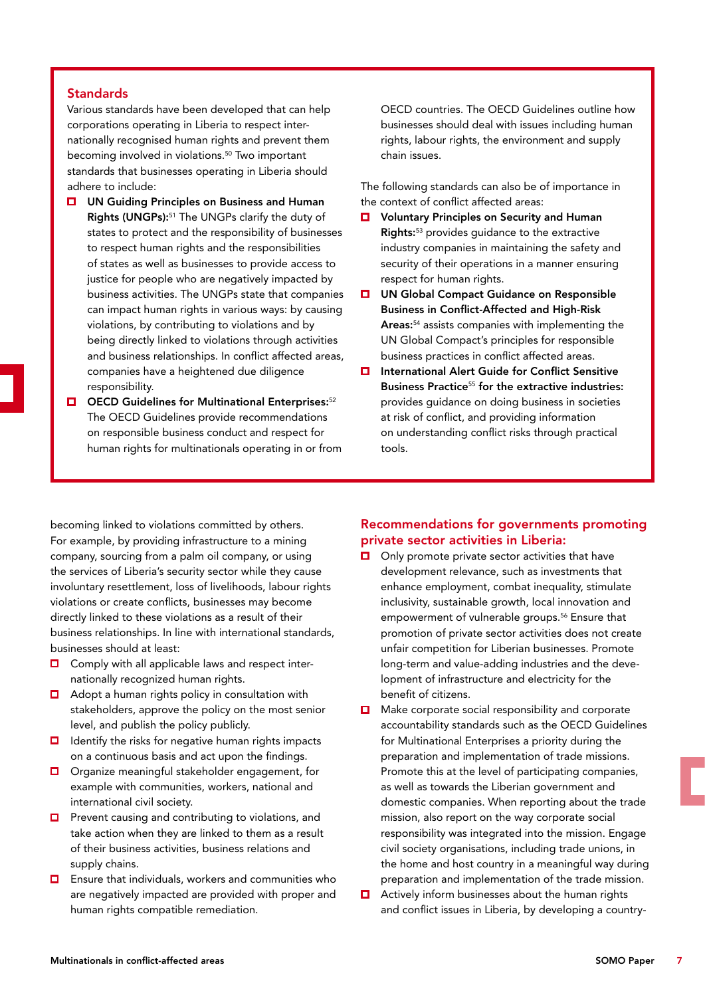#### **Standards**

Various standards have been developed that can help corporations operating in Liberia to respect internationally recognised human rights and prevent them becoming involved in violations.<sup>50</sup> Two important standards that businesses operating in Liberia should adhere to include:

- **□** UN Guiding Principles on Business and Human Rights (UNGPs):51 The UNGPs clarify the duty of states to protect and the responsibility of businesses to respect human rights and the responsibilities of states as well as businesses to provide access to justice for people who are negatively impacted by business activities. The UNGPs state that companies can impact human rights in various ways: by causing violations, by contributing to violations and by being directly linked to violations through activities and business relationships. In conflict affected areas, companies have a heightened due diligence responsibility.
- $\Box$  OECD Guidelines for Multinational Enterprises:<sup>52</sup> The OECD Guidelines provide recommendations on responsible business conduct and respect for human rights for multinationals operating in or from

OECD countries. The OECD Guidelines outline how businesses should deal with issues including human rights, labour rights, the environment and supply chain issues.

The following standards can also be of importance in the context of conflict affected areas:

- Voluntary Principles on Security and Human  $\Box$ Rights:53 provides guidance to the extractive industry companies in maintaining the safety and security of their operations in a manner ensuring respect for human rights.
- $\Box$ UN Global Compact Guidance on Responsible Business in Conflict-Affected and High-Risk Areas:<sup>54</sup> assists companies with implementing the UN Global Compact's principles for responsible business practices in conflict affected areas.
- $\Box$  International Alert Guide for Conflict Sensitive Business Practice<sup>55</sup> for the extractive industries: provides guidance on doing business in societies at risk of conflict, and providing information on understanding conflict risks through practical tools.

becoming linked to violations committed by others. For example, by providing infrastructure to a mining company, sourcing from a palm oil company, or using the services of Liberia's security sector while they cause involuntary resettlement, loss of livelihoods, labour rights violations or create conflicts, businesses may become directly linked to these violations as a result of their business relationships. In line with international standards, businesses should at least:

- $\Box$  Comply with all applicable laws and respect internationally recognized human rights.
- $\Box$  Adopt a human rights policy in consultation with stakeholders, approve the policy on the most senior level, and publish the policy publicly.
- $\Box$  Identify the risks for negative human rights impacts on a continuous basis and act upon the findings.
- **O** Organize meaningful stakeholder engagement, for example with communities, workers, national and international civil society.
- $\Box$  Prevent causing and contributing to violations, and take action when they are linked to them as a result of their business activities, business relations and supply chains.
- $\Box$  Ensure that individuals, workers and communities who are negatively impacted are provided with proper and human rights compatible remediation.

#### Recommendations for governments promoting private sector activities in Liberia:

- П Only promote private sector activities that have development relevance, such as investments that enhance employment, combat inequality, stimulate inclusivity, sustainable growth, local innovation and empowerment of vulnerable groups.<sup>56</sup> Ensure that promotion of private sector activities does not create unfair competition for Liberian businesses. Promote long-term and value-adding industries and the development of infrastructure and electricity for the benefit of citizens.
- m. Make corporate social responsibility and corporate accountability standards such as the OECD Guidelines for Multinational Enterprises a priority during the preparation and implementation of trade missions. Promote this at the level of participating companies, as well as towards the Liberian government and domestic companies. When reporting about the trade mission, also report on the way corporate social responsibility was integrated into the mission. Engage civil society organisations, including trade unions, in the home and host country in a meaningful way during preparation and implementation of the trade mission.
- $\Box$ Actively inform businesses about the human rights and conflict issues in Liberia, by developing a country-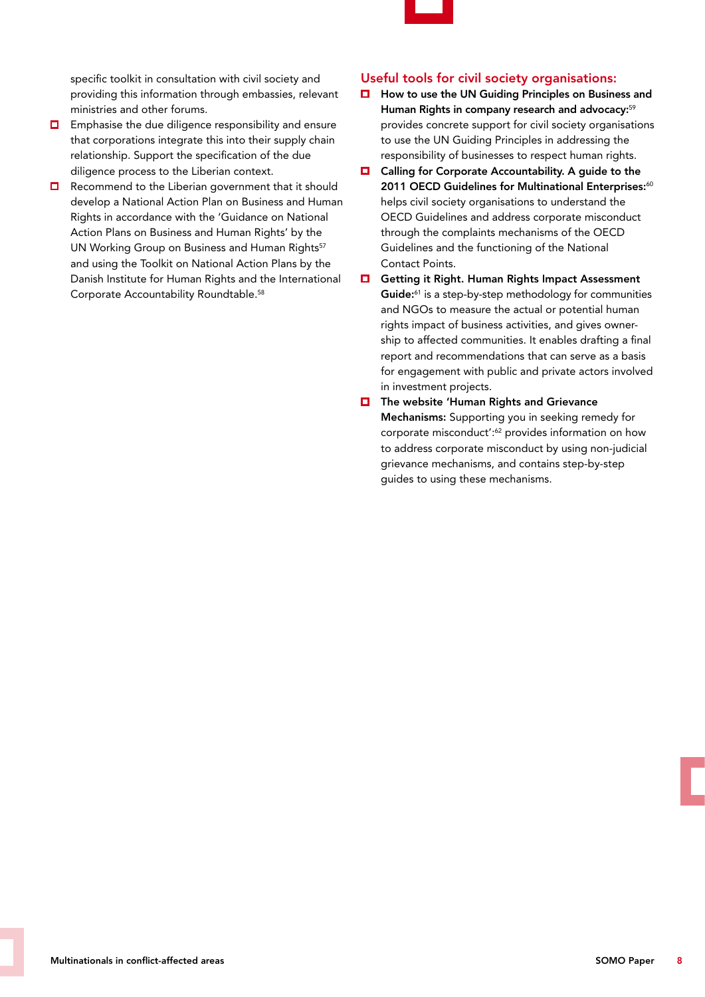

specific toolkit in consultation with civil society and providing this information through embassies, relevant ministries and other forums.

- $\Box$  Emphasise the due diligence responsibility and ensure that corporations integrate this into their supply chain relationship. Support the specification of the due diligence process to the Liberian context.
- $\Box$  Recommend to the Liberian government that it should develop a National Action Plan on Business and Human Rights in accordance with the 'Guidance on National Action Plans on Business and Human Rights' by the UN Working Group on Business and Human Rights<sup>57</sup> and using the Toolkit on National Action Plans by the Danish Institute for Human Rights and the International Corporate Accountability Roundtable.58

#### Useful tools for civil society organisations:

- How to use the UN Guiding Principles on Business and  $\Box$ Human Rights in company research and advocacy:<sup>59</sup> provides concrete support for civil society organisations to use the UN Guiding Principles in addressing the responsibility of businesses to respect human rights.
- $\Box$  Calling for Corporate Accountability. A guide to the 2011 OECD Guidelines for Multinational Enterprises:<sup>60</sup> helps civil society organisations to understand the OECD Guidelines and address corporate misconduct through the complaints mechanisms of the OECD Guidelines and the functioning of the National Contact Points.
- $\Box$ Getting it Right. Human Rights Impact Assessment Guide:<sup>61</sup> is a step-by-step methodology for communities and NGOs to measure the actual or potential human rights impact of business activities, and gives ownership to affected communities. It enables drafting a final report and recommendations that can serve as a basis for engagement with public and private actors involved in investment projects.
- $\Box$  The website 'Human Rights and Grievance Mechanisms: Supporting you in seeking remedy for corporate misconduct':<sup>62</sup> provides information on how to address corporate misconduct by using non-judicial grievance mechanisms, and contains step-by-step guides to using these mechanisms.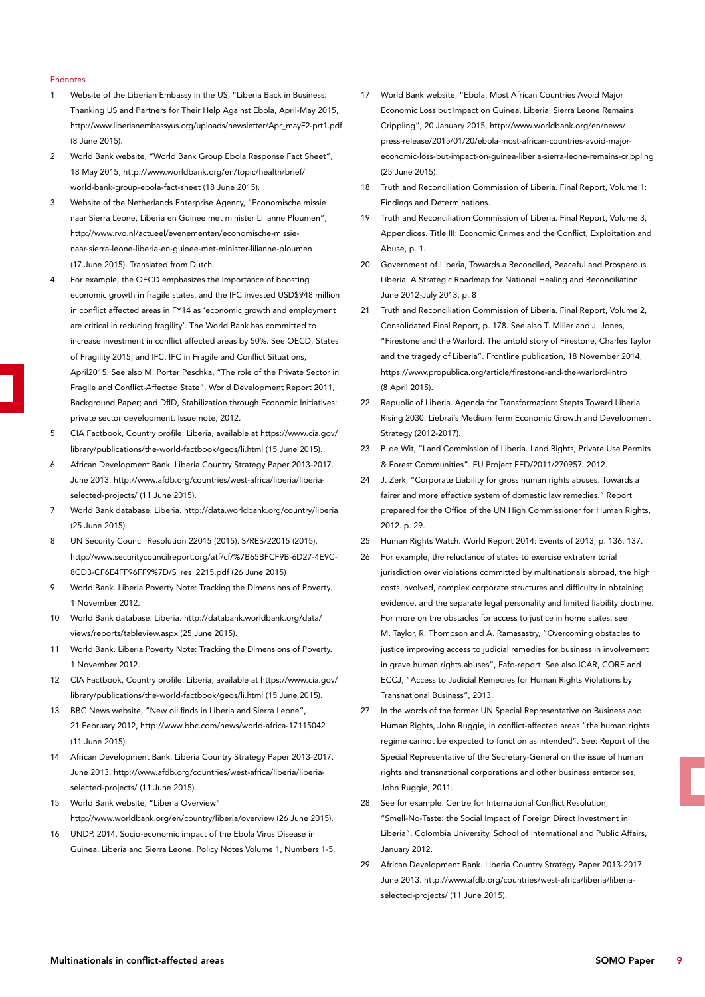#### **Endnotes**

- 1 Website of the Liberian Embassy in the US, "Liberia Back in Business: Thanking US and Partners for Their Help Against Ebola, April-May 2015, http://www.liberianembassyus.org/uploads/newsletter/Apr\_mayF2-prt1.pdf (8 June 2015).
- 2 World Bank website, "World Bank Group Ebola Response Fact Sheet", 18 May 2015, http://www.worldbank.org/en/topic/health/brief/ world-bank-group-ebola-fact-sheet (18 June 2015).
- 3 Website of the Netherlands Enterprise Agency, "Economische missie naar Sierra Leone, Liberia en Guinee met minister LIlianne Ploumen", http://www.rvo.nl/actueel/evenementen/economische-missienaar-sierra-leone-liberia-en-guinee-met-minister-lilianne-ploumen (17 June 2015). Translated from Dutch.
- 4 For example, the OECD emphasizes the importance of boosting economic growth in fragile states, and the IFC invested USD\$948 million in conflict affected areas in FY14 as 'economic growth and employment are critical in reducing fragility'. The World Bank has committed to increase investment in conflict affected areas by 50%. See OECD, States of Fragility 2015; and IFC, IFC in Fragile and Conflict Situations, April2015. See also M. Porter Peschka, "The role of the Private Sector in Fragile and Conflict-Affected State". World Development Report 2011, Background Paper; and DfID, Stabilization through Economic Initiatives: private sector development. Issue note, 2012.
- 5 CIA Factbook, Country profile: Liberia, available at https://www.cia.gov/ library/publications/the-world-factbook/geos/li.html (15 June 2015).
- 6 African Development Bank. Liberia Country Strategy Paper 2013-2017. June 2013. http://www.afdb.org/countries/west-africa/liberia/liberiaselected-projects/ (11 June 2015).
- 7 World Bank database. Liberia. http://data.worldbank.org/country/liberia (25 June 2015).
- 8 UN Security Council Resolution 22015 (2015). S/RES/22015 (2015). http://www.securitycouncilreport.org/atf/cf/%7B65BFCF9B-6D27-4E9C-8CD3-CF6E4FF96FF9%7D/S\_res\_2215.pdf (26 June 2015)
- 9 World Bank. Liberia Poverty Note: Tracking the Dimensions of Poverty. 1 November 2012.
- 10 World Bank database. Liberia. http://databank.worldbank.org/data/ views/reports/tableview.aspx (25 June 2015).
- 11 World Bank. Liberia Poverty Note: Tracking the Dimensions of Poverty. 1 November 2012.
- 12 CIA Factbook, Country profile: Liberia, available at https://www.cia.gov/ library/publications/the-world-factbook/geos/li.html (15 June 2015).
- 13 BBC News website, "New oil finds in Liberia and Sierra Leone", 21 February 2012, http://www.bbc.com/news/world-africa-17115042 (11 June 2015).
- 14 African Development Bank. Liberia Country Strategy Paper 2013-2017. June 2013. http://www.afdb.org/countries/west-africa/liberia/liberiaselected-projects/ (11 June 2015).
- 15 World Bank website, "Liberia Overview" http://www.worldbank.org/en/country/liberia/overview (26 June 2015).
- 16 UNDP. 2014. Socio-economic impact of the Ebola Virus Disease in Guinea, Liberia and Sierra Leone. Policy Notes Volume 1, Numbers 1-5.
- 17 World Bank website, "Ebola: Most African Countries Avoid Major Economic Loss but Impact on Guinea, Liberia, Sierra Leone Remains Crippling", 20 January 2015, http://www.worldbank.org/en/news/ press-release/2015/01/20/ebola-most-african-countries-avoid-majoreconomic-loss-but-impact-on-guinea-liberia-sierra-leone-remains-crippling (25 June 2015).
- 18 Truth and Reconciliation Commission of Liberia. Final Report, Volume 1: Findings and Determinations.
- 19 Truth and Reconciliation Commission of Liberia. Final Report, Volume 3, Appendices. Title III: Economic Crimes and the Conflict, Exploitation and Abuse, p. 1.
- 20 Government of Liberia, Towards a Reconciled, Peaceful and Prosperous Liberia. A Strategic Roadmap for National Healing and Reconciliation. June 2012-July 2013, p. 8
- 21 Truth and Reconciliation Commission of Liberia. Final Report, Volume 2, Consolidated Final Report, p. 178. See also T. Miller and J. Jones, "Firestone and the Warlord. The untold story of Firestone, Charles Taylor and the tragedy of Liberia". Frontline publication, 18 November 2014, https://www.propublica.org/article/firestone-and-the-warlord-intro (8 April 2015).
- 22 Republic of Liberia. Agenda for Transformation: Stepts Toward Liberia Rising 2030. Liebrai's Medium Term Economic Growth and Development Strategy (2012-2017).
- 23 P. de Wit, "Land Commission of Liberia. Land Rights, Private Use Permits & Forest Communities". EU Project FED/2011/270957, 2012.
- 24 J. Zerk, "Corporate Liability for gross human rights abuses. Towards a fairer and more effective system of domestic law remedies." Report prepared for the Office of the UN High Commissioner for Human Rights, 2012. p. 29.
- 25 Human Rights Watch. World Report 2014: Events of 2013, p. 136, 137.
- 26 For example, the reluctance of states to exercise extraterritorial jurisdiction over violations committed by multinationals abroad, the high costs involved, complex corporate structures and difficulty in obtaining evidence, and the separate legal personality and limited liability doctrine. For more on the obstacles for access to justice in home states, see M. Taylor, R. Thompson and A. Ramasastry, "Overcoming obstacles to justice improving access to judicial remedies for business in involvement in grave human rights abuses", Fafo-report. See also ICAR, CORE and ECCJ, "Access to Judicial Remedies for Human Rights Violations by Transnational Business", 2013.
- 27 In the words of the former UN Special Representative on Business and Human Rights, John Ruggie, in conflict-affected areas "the human rights regime cannot be expected to function as intended". See: Report of the Special Representative of the Secretary-General on the issue of human rights and transnational corporations and other business enterprises, John Ruggie, 2011.
- 28 See for example: Centre for International Conflict Resolution, "Smell-No-Taste: the Social Impact of Foreign Direct Investment in Liberia". Colombia University, School of International and Public Affairs, January 2012.
- 29 African Development Bank. Liberia Country Strategy Paper 2013-2017. June 2013. http://www.afdb.org/countries/west-africa/liberia/liberiaselected-projects/ (11 June 2015).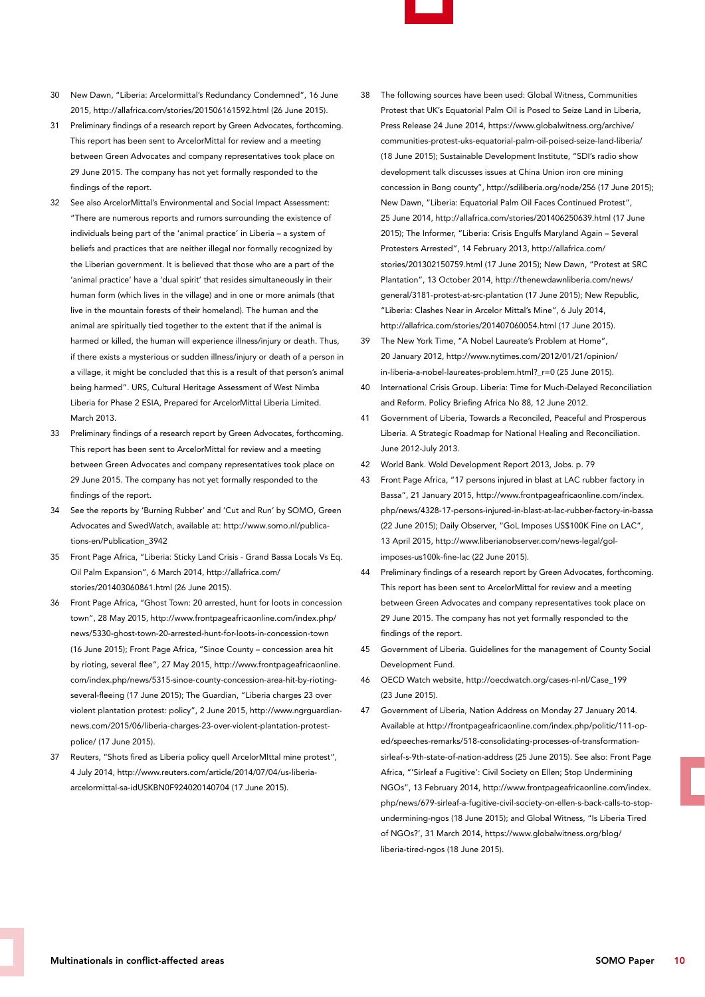- 
- 30 New Dawn, "Liberia: Arcelormittal's Redundancy Condemned", 16 June 2015, http://allafrica.com/stories/201506161592.html (26 June 2015).
- 31 Preliminary findings of a research report by Green Advocates, forthcoming. This report has been sent to ArcelorMittal for review and a meeting between Green Advocates and company representatives took place on 29 June 2015. The company has not yet formally responded to the findings of the report.
- 32 See also ArcelorMittal's Environmental and Social Impact Assessment: "There are numerous reports and rumors surrounding the existence of individuals being part of the 'animal practice' in Liberia – a system of beliefs and practices that are neither illegal nor formally recognized by the Liberian government. It is believed that those who are a part of the 'animal practice' have a 'dual spirit' that resides simultaneously in their human form (which lives in the village) and in one or more animals (that live in the mountain forests of their homeland). The human and the animal are spiritually tied together to the extent that if the animal is harmed or killed, the human will experience illness/injury or death. Thus, if there exists a mysterious or sudden illness/injury or death of a person in a village, it might be concluded that this is a result of that person's animal being harmed". URS, Cultural Heritage Assessment of West Nimba Liberia for Phase 2 ESIA, Prepared for ArcelorMittal Liberia Limited. March 2013.
- 33 Preliminary findings of a research report by Green Advocates, forthcoming. This report has been sent to ArcelorMittal for review and a meeting between Green Advocates and company representatives took place on 29 June 2015. The company has not yet formally responded to the findings of the report.
- 34 See the reports by 'Burning Rubber' and 'Cut and Run' by SOMO, Green Advocates and SwedWatch, available at: http://www.somo.nl/publications-en/Publication\_3942
- 35 Front Page Africa, "Liberia: Sticky Land Crisis Grand Bassa Locals Vs Eq. Oil Palm Expansion", 6 March 2014, http://allafrica.com/ stories/201403060861.html (26 June 2015).
- 36 Front Page Africa, "Ghost Town: 20 arrested, hunt for loots in concession town", 28 May 2015, http://www.frontpageafricaonline.com/index.php/ news/5330-ghost-town-20-arrested-hunt-for-loots-in-concession-town (16 June 2015); Front Page Africa, "Sinoe County – concession area hit by rioting, several flee", 27 May 2015, http://www.frontpageafricaonline. com/index.php/news/5315-sinoe-county-concession-area-hit-by-riotingseveral-fleeing (17 June 2015); The Guardian, "Liberia charges 23 over violent plantation protest: policy", 2 June 2015, http://www.ngrguardiannews.com/2015/06/liberia-charges-23-over-violent-plantation-protestpolice/ (17 June 2015).
- 37 Reuters, "Shots fired as Liberia policy quell ArcelorMIttal mine protest", 4 July 2014, http://www.reuters.com/article/2014/07/04/us-liberiaarcelormittal-sa-idUSKBN0F924020140704 (17 June 2015).
- 38 The following sources have been used: Global Witness, Communities Protest that UK's Equatorial Palm Oil is Posed to Seize Land in Liberia, Press Release 24 June 2014, https://www.globalwitness.org/archive/ communities-protest-uks-equatorial-palm-oil-poised-seize-land-liberia/ (18 June 2015); Sustainable Development Institute, "SDI's radio show development talk discusses issues at China Union iron ore mining concession in Bong county", http://sdiliberia.org/node/256 (17 June 2015); New Dawn, "Liberia: Equatorial Palm Oil Faces Continued Protest", 25 June 2014, http://allafrica.com/stories/201406250639.html (17 June 2015); The Informer, "Liberia: Crisis Engulfs Maryland Again – Several Protesters Arrested", 14 February 2013, http://allafrica.com/ stories/201302150759.html (17 June 2015); New Dawn, "Protest at SRC Plantation", 13 October 2014, http://thenewdawnliberia.com/news/ general/3181-protest-at-src-plantation (17 June 2015); New Republic, "Liberia: Clashes Near in Arcelor Mittal's Mine", 6 July 2014, http://allafrica.com/stories/201407060054.html (17 June 2015).
- 39 The New York Time, "A Nobel Laureate's Problem at Home", 20 January 2012, http://www.nytimes.com/2012/01/21/opinion/ in-liberia-a-nobel-laureates-problem.html?\_r=0 (25 June 2015).
- 40 International Crisis Group. Liberia: Time for Much-Delayed Reconciliation and Reform. Policy Briefing Africa No 88, 12 June 2012.
- 41 Government of Liberia, Towards a Reconciled, Peaceful and Prosperous Liberia. A Strategic Roadmap for National Healing and Reconciliation. June 2012-July 2013.
- 42 World Bank. Wold Development Report 2013, Jobs. p. 79
- 43 Front Page Africa, "17 persons injured in blast at LAC rubber factory in Bassa", 21 January 2015, http://www.frontpageafricaonline.com/index. php/news/4328-17-persons-injured-in-blast-at-lac-rubber-factory-in-bassa (22 June 2015); Daily Observer, "GoL Imposes US\$100K Fine on LAC", 13 April 2015, http://www.liberianobserver.com/news-legal/golimposes-us100k-fine-lac (22 June 2015).
- 44 Preliminary findings of a research report by Green Advocates, forthcoming. This report has been sent to ArcelorMittal for review and a meeting between Green Advocates and company representatives took place on 29 June 2015. The company has not yet formally responded to the findings of the report.
- 45 Government of Liberia. Guidelines for the management of County Social Development Fund.
- 46 OECD Watch website, http://oecdwatch.org/cases-nl-nl/Case\_199 (23 June 2015).
- 47 Government of Liberia, Nation Address on Monday 27 January 2014. Available at http://frontpageafricaonline.com/index.php/politic/111-oped/speeches-remarks/518-consolidating-processes-of-transformationsirleaf-s-9th-state-of-nation-address (25 June 2015). See also: Front Page Africa, "'Sirleaf a Fugitive': Civil Society on Ellen; Stop Undermining NGOs", 13 February 2014, http://www.frontpageafricaonline.com/index. php/news/679-sirleaf-a-fugitive-civil-society-on-ellen-s-back-calls-to-stopundermining-ngos (18 June 2015); and Global Witness, "Is Liberia Tired of NGOs?', 31 March 2014, https://www.globalwitness.org/blog/ liberia-tired-ngos (18 June 2015).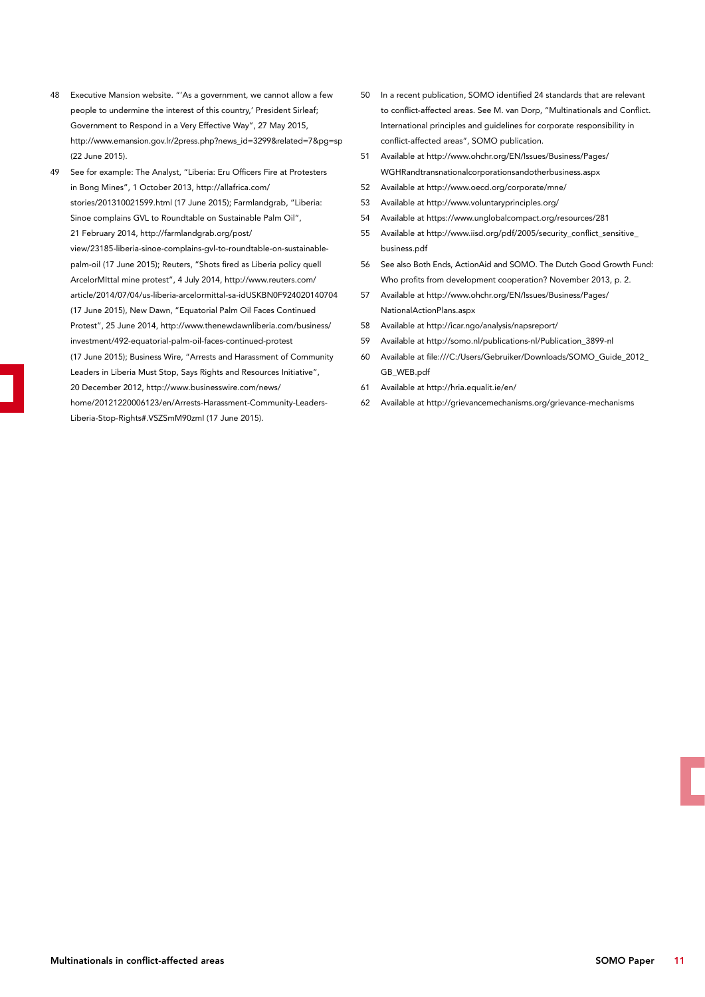- 48 Executive Mansion website. "'As a government, we cannot allow a few people to undermine the interest of this country,' President Sirleaf; Government to Respond in a Very Effective Way", 27 May 2015, http://www.emansion.gov.lr/2press.php?news\_id=3299&related=7&pg=sp (22 June 2015).
- 49 See for example: The Analyst, "Liberia: Eru Officers Fire at Protesters in Bong Mines", 1 October 2013, http://allafrica.com/ stories/201310021599.html (17 June 2015); Farmlandgrab, "Liberia: Sinoe complains GVL to Roundtable on Sustainable Palm Oil", 21 February 2014, http://farmlandgrab.org/post/ view/23185-liberia-sinoe-complains-gvl-to-roundtable-on-sustainablepalm-oil (17 June 2015); Reuters, "Shots fired as Liberia policy quell ArcelorMIttal mine protest", 4 July 2014, http://www.reuters.com/ article/2014/07/04/us-liberia-arcelormittal-sa-idUSKBN0F924020140704 (17 June 2015), New Dawn, "Equatorial Palm Oil Faces Continued Protest", 25 June 2014, http://www.thenewdawnliberia.com/business/ investment/492-equatorial-palm-oil-faces-continued-protest (17 June 2015); Business Wire, "Arrests and Harassment of Community Leaders in Liberia Must Stop, Says Rights and Resources Initiative", 20 December 2012, http://www.businesswire.com/news/ home/20121220006123/en/Arrests-Harassment-Community-Leaders-Liberia-Stop-Rights#.VSZSmM90zmI (17 June 2015).
- 50 In a recent publication, SOMO identified 24 standards that are relevant to conflict-affected areas. See M. van Dorp, "Multinationals and Conflict. International principles and guidelines for corporate responsibility in conflict-affected areas", SOMO publication.
- 51 Available at http://www.ohchr.org/EN/Issues/Business/Pages/ WGHRandtransnationalcorporationsandotherbusiness.aspx
- 52 Available at http://www.oecd.org/corporate/mne/
- 53 Available at http://www.voluntaryprinciples.org/
- 54 Available at https://www.unglobalcompact.org/resources/281
- 55 Available at http://www.iisd.org/pdf/2005/security\_conflict\_sensitive\_ business.pdf
- 56 See also Both Ends, ActionAid and SOMO. The Dutch Good Growth Fund: Who profits from development cooperation? November 2013, p. 2.
- 57 Available at http://www.ohchr.org/EN/Issues/Business/Pages/ NationalActionPlans.aspx
- 58 Available at http://icar.ngo/analysis/napsreport/
- 59 Available at http://somo.nl/publications-nl/Publication\_3899-nl
- 60 Available at file:///C:/Users/Gebruiker/Downloads/SOMO\_Guide\_2012\_ GB\_WEB.pdf
- 61 Available at http://hria.equalit.ie/en/
- 62 Available at http://grievancemechanisms.org/grievance-mechanisms